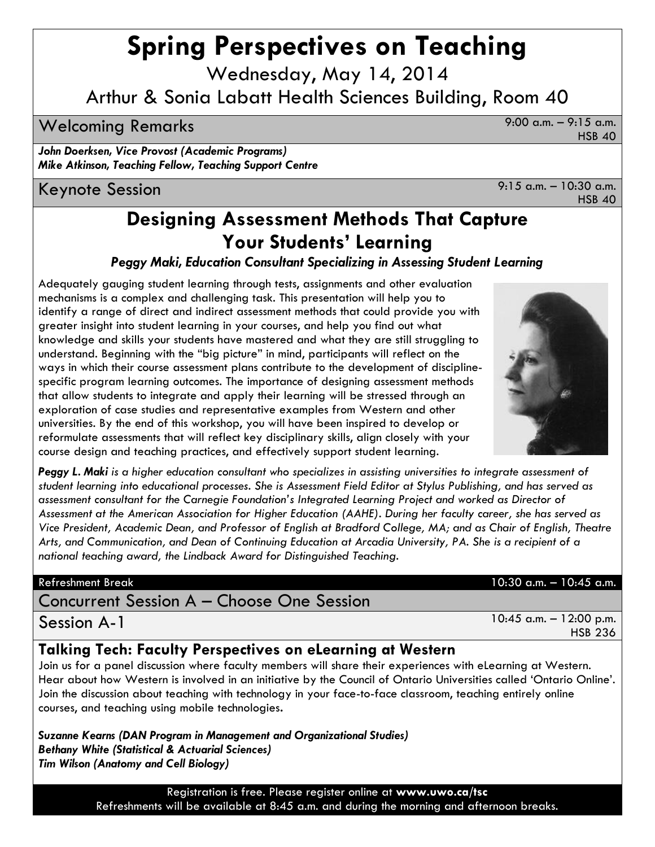# **Spring Perspectives on Teaching**

Wednesday, May 14, 2014

# Arthur & Sonia Labatt Health Sciences Building, Room 40

# Welcoming Remarks 9:00 a.m. – 9:15 a.m.

*John Doerksen, Vice Provost (Academic Programs) Mike Atkinson, Teaching Fellow, Teaching Support Centre*

Keynote Session 9:15 a.m. – 10:30 a.m.

HSB 40

HSB 40

# **Designing Assessment Methods That Capture Your Students' Learning**

*Peggy Maki, Education Consultant Specializing in Assessing Student Learning*

Adequately gauging student learning through tests, assignments and other evaluation mechanisms is a complex and challenging task. This presentation will help you to identify a range of direct and indirect assessment methods that could provide you with greater insight into student learning in your courses, and help you find out what knowledge and skills your students have mastered and what they are still struggling to understand. Beginning with the "big picture" in mind, participants will reflect on the ways in which their course assessment plans contribute to the development of disciplinespecific program learning outcomes. The importance of designing assessment methods that allow students to integrate and apply their learning will be stressed through an exploration of case studies and representative examples from Western and other universities. By the end of this workshop, you will have been inspired to develop or reformulate assessments that will reflect key disciplinary skills, align closely with your course design and teaching practices, and effectively support student learning.

*Peggy L. Maki is a higher education consultant who specializes in assisting universities to integrate assessment of student learning into educational processes. She is Assessment Field Editor at Stylus Publishing, and has served as assessment consultant for the Carnegie Foundation's Integrated Learning Project and worked as Director of Assessment at the American Association for Higher Education (AAHE). During her faculty career, she has served as Vice President, Academic Dean, and Professor of English at Bradford College, MA; and as Chair of English, Theatre Arts, and Communication, and Dean of Continuing Education at Arcadia University, PA. She is a recipient of a national teaching award, the Lindback Award for Distinguished Teaching.*

# Concurrent Session A – Choose One Session

Session A-1

# **Talking Tech: Faculty Perspectives on eLearning at Western**

Join us for a panel discussion where faculty members will share their experiences with eLearning at Western. Hear about how Western is involved in an initiative by the Council of Ontario Universities called 'Ontario Online'. Join the discussion about teaching with technology in your face-to-face classroom, teaching entirely online courses, and teaching using mobile technologies**.**

*Suzanne Kearns (DAN Program in Management and Organizational Studies) Bethany White (Statistical & Actuarial Sciences) Tim Wilson (Anatomy and Cell Biology)*

> Registration is free. Please register online at **www.uwo.ca/tsc**  Refreshments will be available at 8:45 a.m. and during the morning and afternoon breaks.

# Refreshment Break 10:30 a.m. – 10:45 a.m.

HSB 236



10:45 a.m. – 12:00 p.m.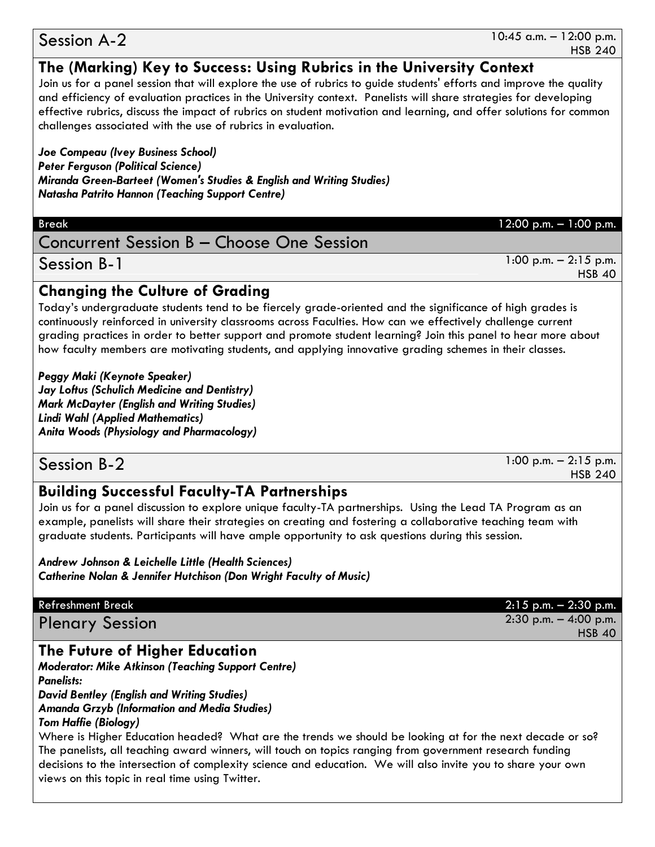#### 10:45 a.m. – 12:00 p.m. HSB 240

# **The (Marking) Key to Success: Using Rubrics in the University Context**

Join us for a panel session that will explore the use of rubrics to guide students' efforts and improve the quality and efficiency of evaluation practices in the University context. Panelists will share strategies for developing effective rubrics, discuss the impact of rubrics on student motivation and learning, and offer solutions for common challenges associated with the use of rubrics in evaluation.

*Joe Compeau (Ivey Business School) Peter Ferguson (Political Science) Miranda Green-Barteet (Women's Studies & English and Writing Studies) Natasha Patrito Hannon (Teaching Support Centre)*

# Concurrent Session B – Choose One Session

1:00 p.m. – 2:15 p.m. HSB 40

### Session B-1

## **Changing the Culture of Grading**

Today's undergraduate students tend to be fiercely grade-oriented and the significance of high grades is continuously reinforced in university classrooms across Faculties. How can we effectively challenge current grading practices in order to better support and promote student learning? Join this panel to hear more about how faculty members are motivating students, and applying innovative grading schemes in their classes.

*Peggy Maki (Keynote Speaker) Jay Loftus (Schulich Medicine and Dentistry) Mark McDayter (English and Writing Studies) Lindi Wahl (Applied Mathematics) Anita Woods (Physiology and Pharmacology)*

# Session B-2

1:00 p.m. – 2:15 p.m. HSB 240

HSB 40

# **Building Successful Faculty-TA Partnerships**

Join us for a panel discussion to explore unique faculty-TA partnerships. Using the Lead TA Program as an example, panelists will share their strategies on creating and fostering a collaborative teaching team with graduate students. Participants will have ample opportunity to ask questions during this session.

*Andrew Johnson & Leichelle Little (Health Sciences) Catherine Nolan & Jennifer Hutchison (Don Wright Faculty of Music)*

#### Refreshment Break 2:15 p.m. – 2:30 p.m.

Plenary Session 2:30 p.m. – 4:00 p.m.

# **The Future of Higher Education**

*Moderator: Mike Atkinson (Teaching Support Centre) Panelists:*

*David Bentley (English and Writing Studies) Amanda Grzyb (Information and Media Studies)*

### *Tom Haffie (Biology)*

Where is Higher Education headed? What are the trends we should be looking at for the next decade or so? The panelists, all teaching award winners, will touch on topics ranging from government research funding decisions to the intersection of complexity science and education. We will also invite you to share your own views on this topic in real time using Twitter.

# Session A-2

Break 12:00 p.m. – 1:00 p.m.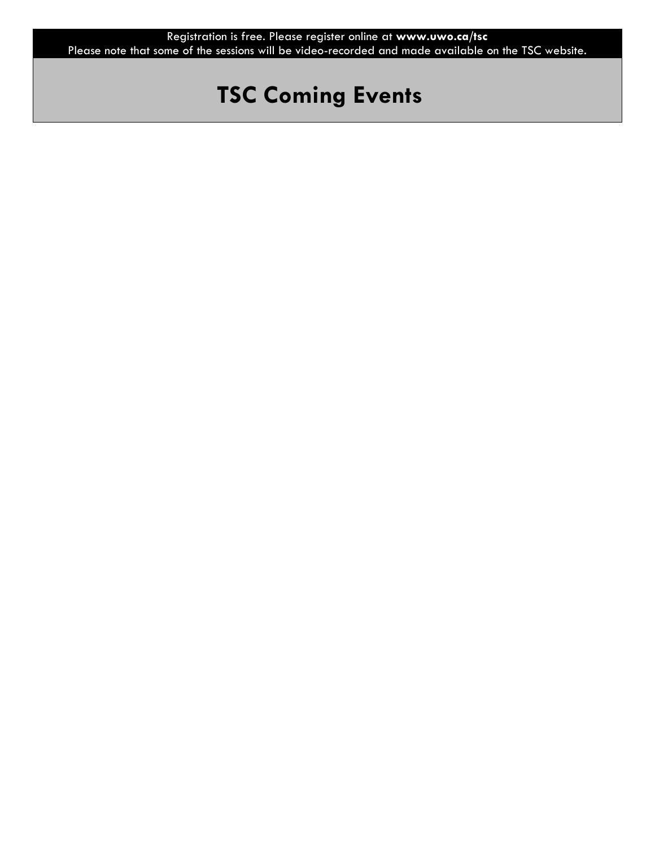# **TSC Coming Events**